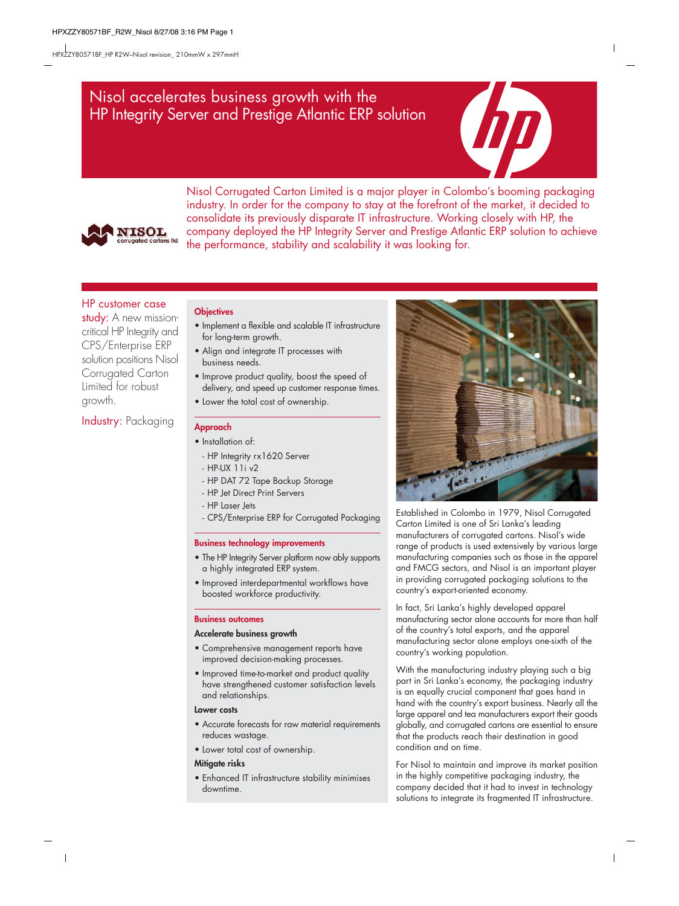# Nisol accelerates business growth with the HP Integrity Server and Prestige Atlantic ERP solution





Nisol Corrugated Carton Limited is a major player in Colombo's booming packaging industry. In order for the company to stay at the forefront of the market, it decided to consolidate its previously disparate IT infrastructure. Working closely with HP, the company deployed the HP Integrity Server and Prestige Atlantic ERP solution to achieve the performance, stability and scalability it was looking for.

# HP customer case

study: A new missioncritical HP Integrity and CPS/Enterprise ERP solution positions Nisol Corrugated Carton Limited for robust growth.

# Industry: Packaging

### **Objectives**

- Implement a flexible and scalable IT infrastructure for long-term growth.
- Align and integrate IT processes with business needs.
- Improve product quality, boost the speed of delivery, and speed up customer response times.
- Lower the total cost of ownership.

## **Approach**

- Installation of:
	- HP Integrity rx1620 Server
	- HP-UX 11i v2
	- HP DAT 72 Tape Backup Storage
	- HP Jet Direct Print Servers
	- HP Laser Jets
- CPS/Enterprise ERP for Corrugated Packaging

### **Business technology improvements**

- The HP Integrity Server platform now ably supports a highly integrated ERP system.
- Improved interdepartmental workflows have boosted workforce productivity.

### **Business outcomes**

### **Accelerate business growth**

- Comprehensive management reports have improved decision-making processes.
- Improved time-to-market and product quality have strengthened customer satisfaction levels and relationships.

#### **Lower costs**

- Accurate forecasts for raw material requirements reduces wastage.
- Lower total cost of ownership.

### **Mitigate risks**

• Enhanced IT infrastructure stability minimises downtime.



Established in Colombo in 1979, Nisol Corrugated Carton Limited is one of Sri Lanka's leading manufacturers of corrugated cartons. Nisol's wide range of products is used extensively by various large manufacturing companies such as those in the apparel and FMCG sectors, and Nisol is an important player in providing corrugated packaging solutions to the country's export-oriented economy.

In fact, Sri Lanka's highly developed apparel manufacturing sector alone accounts for more than half of the country's total exports, and the apparel manufacturing sector alone employs one-sixth of the country's working population.

With the manufacturing industry playing such a big part in Sri Lanka's economy, the packaging industry is an equally crucial component that goes hand in hand with the country's export business. Nearly all the large apparel and tea manufacturers export their goods globally, and corrugated cartons are essential to ensure that the products reach their destination in good condition and on time.

For Nisol to maintain and improve its market position in the highly competitive packaging industry, the company decided that it had to invest in technology solutions to integrate its fragmented IT infrastructure.